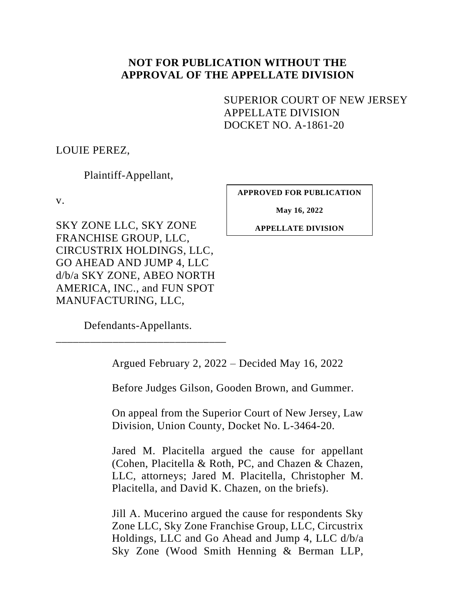## **NOT FOR PUBLICATION WITHOUT THE APPROVAL OF THE APPELLATE DIVISION**

<span id="page-0-0"></span>SUPERIOR COURT OF NEW JERSEY APPELLATE DIVISION DOCKET NO. A-1861-20

LOUIE PEREZ,

Plaintiff-Appellant,

v.

SKY ZONE LLC, SKY ZONE FRANCHISE GROUP, LLC, CIRCUSTRIX HOLDINGS, LLC, GO AHEAD AND JUMP 4, LLC d/b/a SKY ZONE, ABEO NORTH AMERICA, INC., and FUN SPOT MANUFACTURING, LLC,

**APPROVED FOR PUBLICATION**

**May 16, 2022**

**APPELLATE DIVISION**

Defendants-Appellants. \_\_\_\_\_\_\_\_\_\_\_\_\_\_\_\_\_\_\_\_\_\_\_\_\_\_\_\_\_\_

Argued February 2, 2022 – Decided May 16, 2022

Before Judges Gilson, Gooden Brown, and Gummer.

On appeal from the Superior Court of New Jersey, Law Division, Union County, Docket No. L-3464-20.

Jared M. Placitella argued the cause for appellant (Cohen, Placitella & Roth, PC, and Chazen & Chazen, LLC, attorneys; Jared M. Placitella, Christopher M. Placitella, and David K. Chazen, on the briefs).

Jill A. Mucerino argued the cause for respondents Sky Zone LLC, Sky Zone Franchise Group, LLC, Circustrix Holdings, LLC and Go Ahead and Jump 4, LLC d/b/a Sky Zone (Wood Smith Henning & Berman LLP,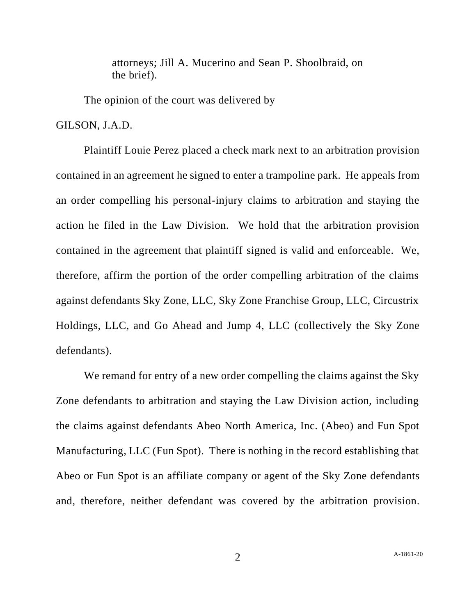attorneys; Jill A. Mucerino and Sean P. Shoolbraid, on the brief).

The opinion of the court was delivered by

GILSON, J.A.D.

Plaintiff Louie Perez placed a check mark next to an arbitration provision contained in an agreement he signed to enter a trampoline park. He appeals from an order compelling his personal-injury claims to arbitration and staying the action he filed in the Law Division. We hold that the arbitration provision contained in the agreement that plaintiff signed is valid and enforceable. We, therefore, affirm the portion of the order compelling arbitration of the claims against defendants Sky Zone, LLC, Sky Zone Franchise Group, LLC, Circustrix Holdings, LLC, and Go Ahead and Jump 4, LLC (collectively the Sky Zone defendants).

We remand for entry of a new order compelling the claims against the Sky Zone defendants to arbitration and staying the Law Division action, including the claims against defendants Abeo North America, Inc. (Abeo) and Fun Spot Manufacturing, LLC (Fun Spot). There is nothing in the record establishing that Abeo or Fun Spot is an affiliate company or agent of the Sky Zone defendants and, therefore, neither defendant was covered by the arbitration provision.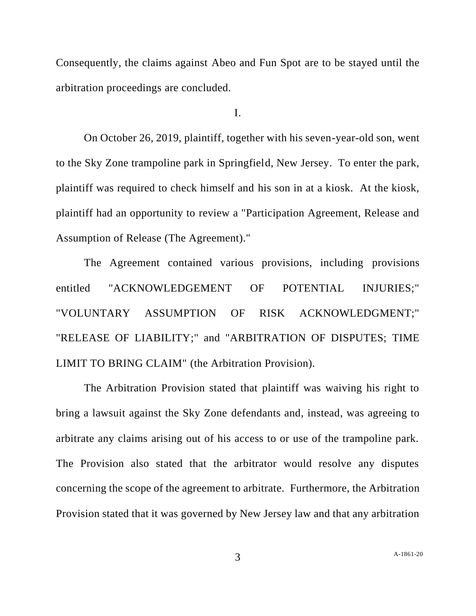Consequently, the claims against Abeo and Fun Spot are to be stayed until the arbitration proceedings are concluded.

I.

On October 26, 2019, plaintiff, together with his seven-year-old son, went to the Sky Zone trampoline park in Springfield, New Jersey. To enter the park, plaintiff was required to check himself and his son in at a kiosk. At the kiosk, plaintiff had an opportunity to review a "Participation Agreement, Release and Assumption of Release (The Agreement)."

The Agreement contained various provisions, including provisions entitled "ACKNOWLEDGEMENT OF POTENTIAL INJURIES;" "VOLUNTARY ASSUMPTION OF RISK ACKNOWLEDGMENT;" "RELEASE OF LIABILITY;" and "ARBITRATION OF DISPUTES; TIME LIMIT TO BRING CLAIM" (the Arbitration Provision).

The Arbitration Provision stated that plaintiff was waiving his right to bring a lawsuit against the Sky Zone defendants and, instead, was agreeing to arbitrate any claims arising out of his access to or use of the trampoline park. The Provision also stated that the arbitrator would resolve any disputes concerning the scope of the agreement to arbitrate. Furthermore, the Arbitration Provision stated that it was governed by New Jersey law and that any arbitration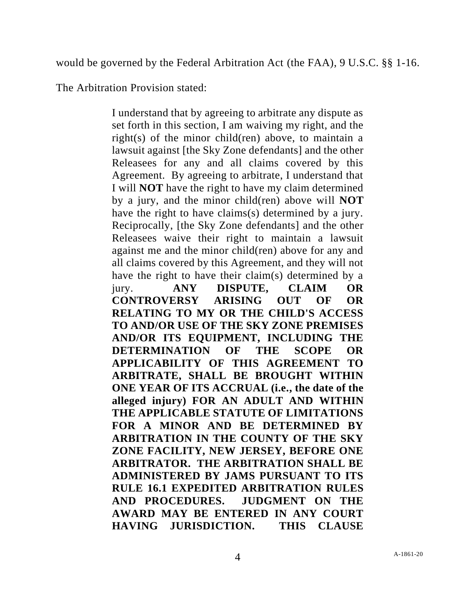would be governed by the Federal Arbitration Act (the FAA), 9 U.S.C. §§ 1-16.

The Arbitration Provision stated:

I understand that by agreeing to arbitrate any dispute as set forth in this section, I am waiving my right, and the right(s) of the minor child(ren) above, to maintain a lawsuit against [the Sky Zone defendants] and the other Releasees for any and all claims covered by this Agreement. By agreeing to arbitrate, I understand that I will **NOT** have the right to have my claim determined by a jury, and the minor child(ren) above will **NOT** have the right to have claims(s) determined by a jury. Reciprocally, [the Sky Zone defendants] and the other Releasees waive their right to maintain a lawsuit against me and the minor child(ren) above for any and all claims covered by this Agreement, and they will not have the right to have their claim(s) determined by a jury. **ANY DISPUTE, CLAIM OR CONTROVERSY ARISING OUT OF OR RELATING TO MY OR THE CHILD'S ACCESS TO AND/OR USE OF THE SKY ZONE PREMISES AND/OR ITS EQUIPMENT, INCLUDING THE DETERMINATION OF THE SCOPE OR APPLICABILITY OF THIS AGREEMENT TO ARBITRATE, SHALL BE BROUGHT WITHIN ONE YEAR OF ITS ACCRUAL (i.e., the date of the alleged injury) FOR AN ADULT AND WITHIN THE APPLICABLE STATUTE OF LIMITATIONS FOR A MINOR AND BE DETERMINED BY ARBITRATION IN THE COUNTY OF THE SKY ZONE FACILITY, NEW JERSEY, BEFORE ONE ARBITRATOR. THE ARBITRATION SHALL BE ADMINISTERED BY JAMS PURSUANT TO ITS RULE 16.1 EXPEDITED ARBITRATION RULES AND PROCEDURES. JUDGMENT ON THE AWARD MAY BE ENTERED IN ANY COURT HAVING JURISDICTION. THIS CLAUSE**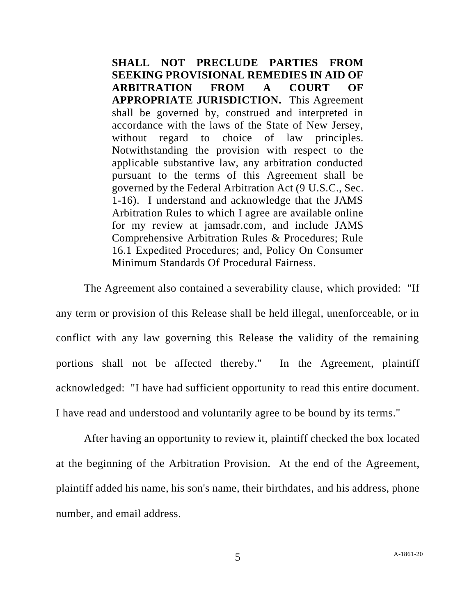**SHALL NOT PRECLUDE PARTIES FROM SEEKING PROVISIONAL REMEDIES IN AID OF ARBITRATION FROM A COURT OF APPROPRIATE JURISDICTION.** This Agreement shall be governed by, construed and interpreted in accordance with the laws of the State of New Jersey, without regard to choice of law principles. Notwithstanding the provision with respect to the applicable substantive law, any arbitration conducted pursuant to the terms of this Agreement shall be governed by the Federal Arbitration Act (9 U.S.C., Sec. 1-16). I understand and acknowledge that the JAMS Arbitration Rules to which I agree are available online for my review at jamsadr.com, and include JAMS Comprehensive Arbitration Rules & Procedures; Rule 16.1 Expedited Procedures; and, Policy On Consumer Minimum Standards Of Procedural Fairness.

The Agreement also contained a severability clause, which provided: "If any term or provision of this Release shall be held illegal, unenforceable, or in conflict with any law governing this Release the validity of the remaining portions shall not be affected thereby." In the Agreement, plaintiff acknowledged: "I have had sufficient opportunity to read this entire document. I have read and understood and voluntarily agree to be bound by its terms."

After having an opportunity to review it, plaintiff checked the box located at the beginning of the Arbitration Provision. At the end of the Agreement, plaintiff added his name, his son's name, their birthdates, and his address, phone number, and email address.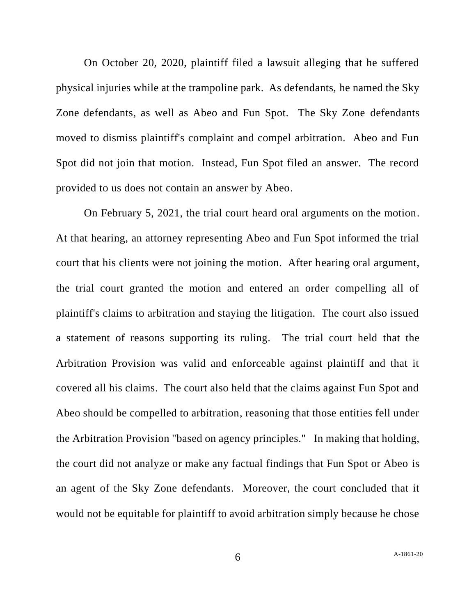On October 20, 2020, plaintiff filed a lawsuit alleging that he suffered physical injuries while at the trampoline park. As defendants, he named the Sky Zone defendants, as well as Abeo and Fun Spot. The Sky Zone defendants moved to dismiss plaintiff's complaint and compel arbitration. Abeo and Fun Spot did not join that motion. Instead, Fun Spot filed an answer. The record provided to us does not contain an answer by Abeo.

On February 5, 2021, the trial court heard oral arguments on the motion. At that hearing, an attorney representing Abeo and Fun Spot informed the trial court that his clients were not joining the motion. After hearing oral argument, the trial court granted the motion and entered an order compelling all of plaintiff's claims to arbitration and staying the litigation. The court also issued a statement of reasons supporting its ruling. The trial court held that the Arbitration Provision was valid and enforceable against plaintiff and that it covered all his claims. The court also held that the claims against Fun Spot and Abeo should be compelled to arbitration, reasoning that those entities fell under the Arbitration Provision "based on agency principles." In making that holding, the court did not analyze or make any factual findings that Fun Spot or Abeo is an agent of the Sky Zone defendants. Moreover, the court concluded that it would not be equitable for plaintiff to avoid arbitration simply because he chose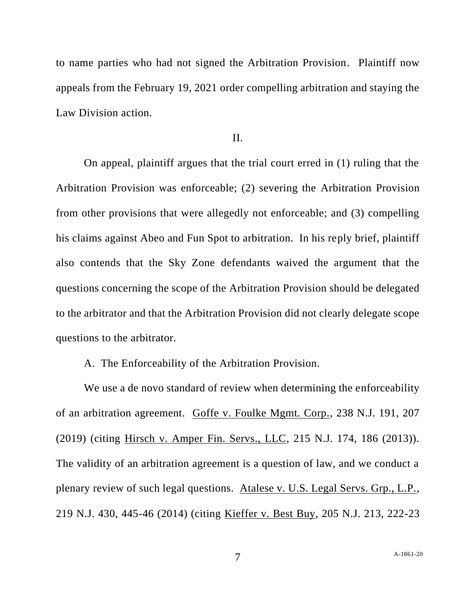to name parties who had not signed the Arbitration Provision. Plaintiff now appeals from the February 19, 2021 order compelling arbitration and staying the Law Division action.

## II.

On appeal, plaintiff argues that the trial court erred in (1) ruling that the Arbitration Provision was enforceable; (2) severing the Arbitration Provision from other provisions that were allegedly not enforceable; and (3) compelling his claims against Abeo and Fun Spot to arbitration. In his reply brief, plaintiff also contends that the Sky Zone defendants waived the argument that the questions concerning the scope of the Arbitration Provision should be delegated to the arbitrator and that the Arbitration Provision did not clearly delegate scope questions to the arbitrator.

## A. The Enforceability of the Arbitration Provision.

We use a de novo standard of review when determining the enforceability of an arbitration agreement. Goffe v. Foulke Mgmt. Corp., 238 N.J. 191, 207 (2019) (citing Hirsch v. Amper Fin. Servs., LLC, 215 N.J. 174, 186 (2013)). The validity of an arbitration agreement is a question of law, and we conduct a plenary review of such legal questions. Atalese v. U.S. Legal Servs. Grp., L.P., 219 N.J. 430, 445-46 (2014) (citing Kieffer v. Best Buy, 205 N.J. 213, 222-23

7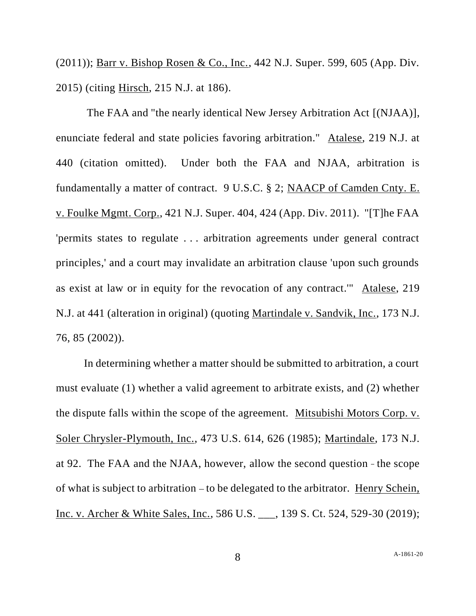(2011)); Barr v. Bishop Rosen & Co., Inc., 442 N.J. Super. 599, 605 (App. Div. 2015) (citing Hirsch, 215 N.J. at 186).

The FAA and "the nearly identical New Jersey Arbitration Act [(NJAA)], enunciate federal and state policies favoring arbitration." Atalese, 219 N.J. at 440 (citation omitted). Under both the FAA and NJAA, arbitration is fundamentally a matter of contract. 9 U.S.C. § 2; NAACP of Camden Cnty. E. v. Foulke Mgmt. Corp., 421 N.J. Super. 404, 424 (App. Div. 2011). "[T]he FAA 'permits states to regulate . . . arbitration agreements under general contract principles,' and a court may invalidate an arbitration clause 'upon such grounds as exist at law or in equity for the revocation of any contract.'" Atalese, 219 N.J. at 441 (alteration in original) (quoting Martindale v. Sandvik, Inc., 173 N.J. 76, 85 (2002)).

In determining whether a matter should be submitted to arbitration, a court must evaluate (1) whether a valid agreement to arbitrate exists, and (2) whether the dispute falls within the scope of the agreement. Mitsubishi Motors Corp. v. Soler Chrysler-Plymouth, Inc., 473 U.S. 614, 626 (1985); Martindale, 173 N.J. at 92. The FAA and the NJAA, however, allow the second question - the scope of what is subject to arbitration – to be delegated to the arbitrator. Henry Schein, Inc. v. Archer & White Sales, Inc., 586 U.S. \_\_\_, 139 S. Ct. 524, 529-30 (2019);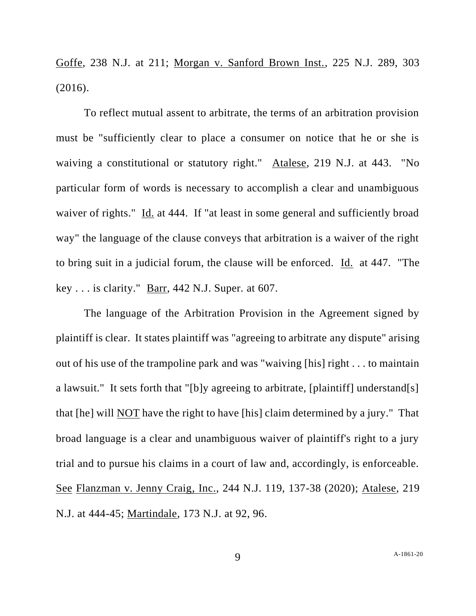Goffe, 238 N.J. at 211; Morgan v. Sanford Brown Inst., 225 N.J. 289, 303 (2016).

To reflect mutual assent to arbitrate, the terms of an arbitration provision must be "sufficiently clear to place a consumer on notice that he or she is waiving a constitutional or statutory right." Atalese, 219 N.J. at 443. "No particular form of words is necessary to accomplish a clear and unambiguous waiver of rights." Id. at 444. If "at least in some general and sufficiently broad way" the language of the clause conveys that arbitration is a waiver of the right to bring suit in a judicial forum, the clause will be enforced. Id. at 447. "The key . . . is clarity." Barr, 442 N.J. Super. at 607.

The language of the Arbitration Provision in the Agreement signed by plaintiff is clear. It states plaintiff was "agreeing to arbitrate any dispute" arising out of his use of the trampoline park and was "waiving [his] right . . . to maintain a lawsuit." It sets forth that "[b]y agreeing to arbitrate, [plaintiff] understand[s] that [he] will NOT have the right to have [his] claim determined by a jury." That broad language is a clear and unambiguous waiver of plaintiff's right to a jury trial and to pursue his claims in a court of law and, accordingly, is enforceable. See Flanzman v. Jenny Craig, Inc., 244 N.J. 119, 137-38 (2020); Atalese, 219 N.J. at 444-45; Martindale, 173 N.J. at 92, 96.

9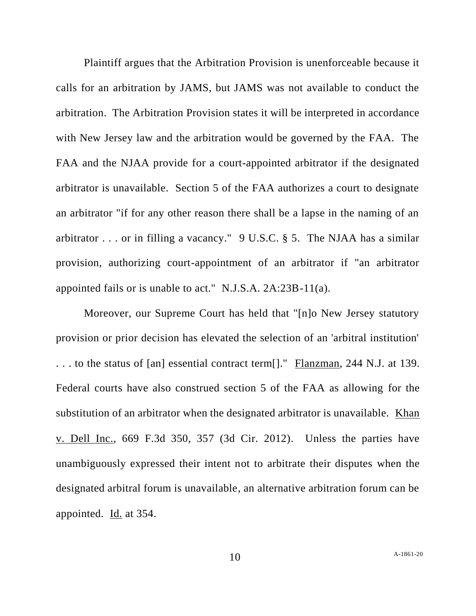Plaintiff argues that the Arbitration Provision is unenforceable because it calls for an arbitration by JAMS, but JAMS was not available to conduct the arbitration. The Arbitration Provision states it will be interpreted in accordance with New Jersey law and the arbitration would be governed by the FAA. The FAA and the NJAA provide for a court-appointed arbitrator if the designated arbitrator is unavailable. Section 5 of the FAA authorizes a court to designate an arbitrator "if for any other reason there shall be a lapse in the naming of an arbitrator . . . or in filling a vacancy." 9 U.S.C. § 5. The NJAA has a similar provision, authorizing court-appointment of an arbitrator if "an arbitrator appointed fails or is unable to act." N.J.S.A. 2A:23B-11(a).

Moreover, our Supreme Court has held that "[n]o New Jersey statutory provision or prior decision has elevated the selection of an 'arbitral institution' . . . to the status of [an] essential contract term[]." Flanzman, 244 N.J. at 139. Federal courts have also construed section 5 of the FAA as allowing for the substitution of an arbitrator when the designated arbitrator is unavailable. Khan v. Dell Inc., 669 F.3d 350, 357 (3d Cir. 2012). Unless the parties have unambiguously expressed their intent not to arbitrate their disputes when the designated arbitral forum is unavailable, an alternative arbitration forum can be appointed. Id. at 354.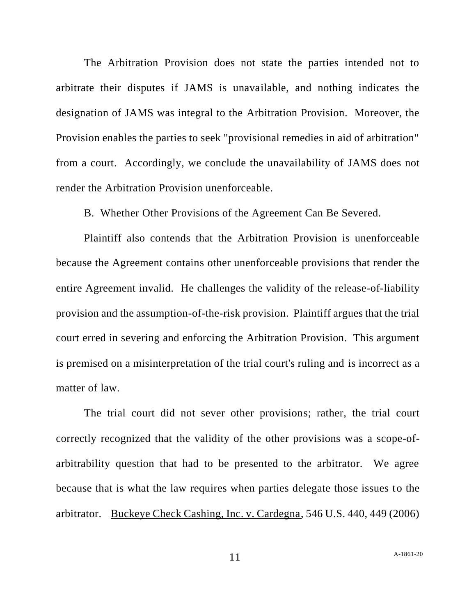The Arbitration Provision does not state the parties intended not to arbitrate their disputes if JAMS is unavailable, and nothing indicates the designation of JAMS was integral to the Arbitration Provision. Moreover, the Provision enables the parties to seek "provisional remedies in aid of arbitration" from a court. Accordingly, we conclude the unavailability of JAMS does not render the Arbitration Provision unenforceable.

B. Whether Other Provisions of the Agreement Can Be Severed.

Plaintiff also contends that the Arbitration Provision is unenforceable because the Agreement contains other unenforceable provisions that render the entire Agreement invalid. He challenges the validity of the release-of-liability provision and the assumption-of-the-risk provision. Plaintiff argues that the trial court erred in severing and enforcing the Arbitration Provision. This argument is premised on a misinterpretation of the trial court's ruling and is incorrect as a matter of law.

The trial court did not sever other provisions; rather, the trial court correctly recognized that the validity of the other provisions was a scope-ofarbitrability question that had to be presented to the arbitrator. We agree because that is what the law requires when parties delegate those issues to the arbitrator. Buckeye Check Cashing, Inc. v. Cardegna, 546 U.S. 440, 449 (2006)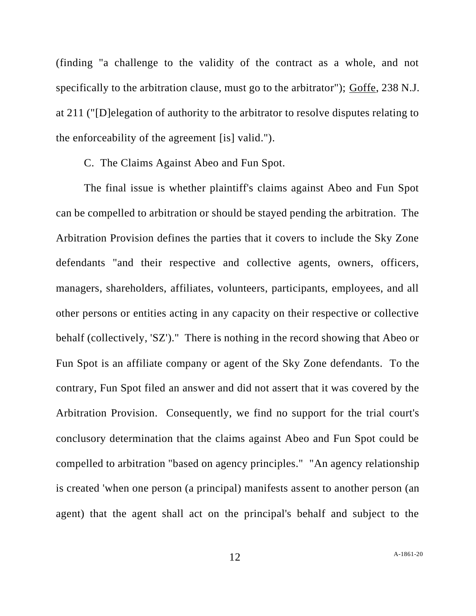(finding "a challenge to the validity of the contract as a whole, and not specifically to the arbitration clause, must go to the arbitrator"); Goffe, 238 N.J. at 211 ("[D]elegation of authority to the arbitrator to resolve disputes relating to the enforceability of the agreement [is] valid.").

C. The Claims Against Abeo and Fun Spot.

The final issue is whether plaintiff's claims against Abeo and Fun Spot can be compelled to arbitration or should be stayed pending the arbitration. The Arbitration Provision defines the parties that it covers to include the Sky Zone defendants "and their respective and collective agents, owners, officers, managers, shareholders, affiliates, volunteers, participants, employees, and all other persons or entities acting in any capacity on their respective or collective behalf (collectively, 'SZ')." There is nothing in the record showing that Abeo or Fun Spot is an affiliate company or agent of the Sky Zone defendants. To the contrary, Fun Spot filed an answer and did not assert that it was covered by the Arbitration Provision. Consequently, we find no support for the trial court's conclusory determination that the claims against Abeo and Fun Spot could be compelled to arbitration "based on agency principles." "An agency relationship is created 'when one person (a principal) manifests assent to another person (an agent) that the agent shall act on the principal's behalf and subject to the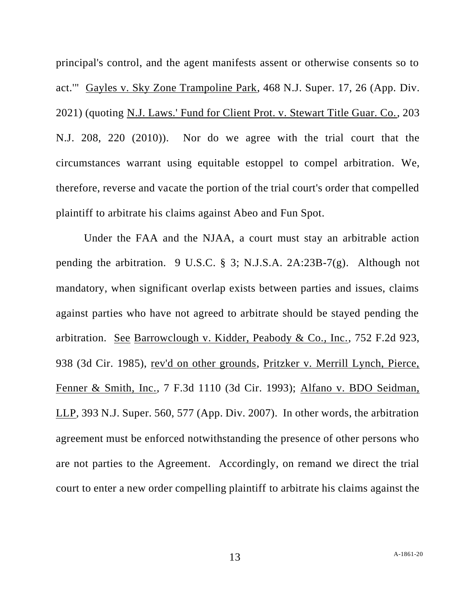principal's control, and the agent manifests assent or otherwise consents so to act.'" Gayles v. Sky Zone Trampoline Park, 468 N.J. Super. 17, 26 (App. Div. 2021) (quoting N.J. Laws.' Fund for Client Prot. v. Stewart Title Guar. Co., 203 N.J. 208, 220 (2010)). Nor do we agree with the trial court that the circumstances warrant using equitable estoppel to compel arbitration. We, therefore, reverse and vacate the portion of the trial court's order that compelled plaintiff to arbitrate his claims against Abeo and Fun Spot.

Under the FAA and the NJAA, a court must stay an arbitrable action pending the arbitration. 9 U.S.C. § 3; N.J.S.A. 2A:23B-7(g). Although not mandatory, when significant overlap exists between parties and issues, claims against parties who have not agreed to arbitrate should be stayed pending the arbitration. See Barrowclough v. Kidder, Peabody & Co., Inc., 752 F.2d 923, 938 (3d Cir. 1985), rev'd on other grounds, Pritzker v. Merrill Lynch, Pierce, Fenner & Smith, Inc., 7 F.3d 1110 (3d Cir. 1993); Alfano v. BDO Seidman, LLP, 393 N.J. Super. 560, 577 (App. Div. 2007). In other words, the arbitration agreement must be enforced notwithstanding the presence of other persons who are not parties to the Agreement. Accordingly, on remand we direct the trial court to enter a new order compelling plaintiff to arbitrate his claims against the